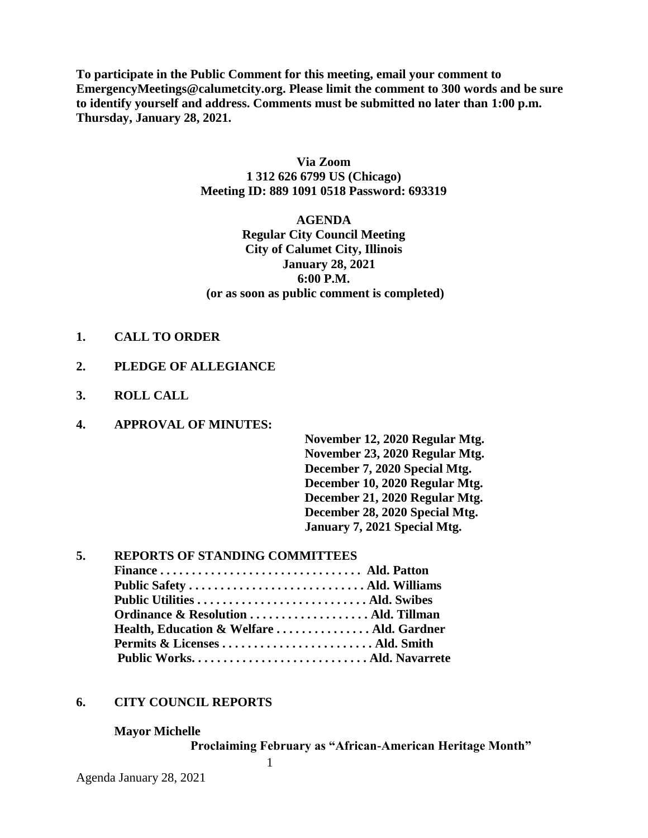**To participate in the Public Comment for this meeting, email your comment to EmergencyMeetings@calumetcity.org. Please limit the comment to 300 words and be sure to identify yourself and address. Comments must be submitted no later than 1:00 p.m. Thursday, January 28, 2021.**

### **Via Zoom 1 312 626 6799 US (Chicago) Meeting ID: 889 1091 0518 Password: 693319**

# **AGENDA Regular City Council Meeting City of Calumet City, Illinois January 28, 2021 6:00 P.M. (or as soon as public comment is completed)**

#### **1. CALL TO ORDER**

### **2. PLEDGE OF ALLEGIANCE**

**3. ROLL CALL**

## **4. APPROVAL OF MINUTES:**

**November 12, 2020 Regular Mtg. November 23, 2020 Regular Mtg. December 7, 2020 Special Mtg. December 10, 2020 Regular Mtg. December 21, 2020 Regular Mtg. December 28, 2020 Special Mtg. January 7, 2021 Special Mtg.** 

### **5. REPORTS OF STANDING COMMITTEES**

| Ordinance & Resolution  Ald. Tillman      |  |
|-------------------------------------------|--|
| Health, Education & Welfare  Ald. Gardner |  |
|                                           |  |
|                                           |  |

1

### **6. CITY COUNCIL REPORTS**

**Mayor Michelle**

**Proclaiming February as "African-American Heritage Month"**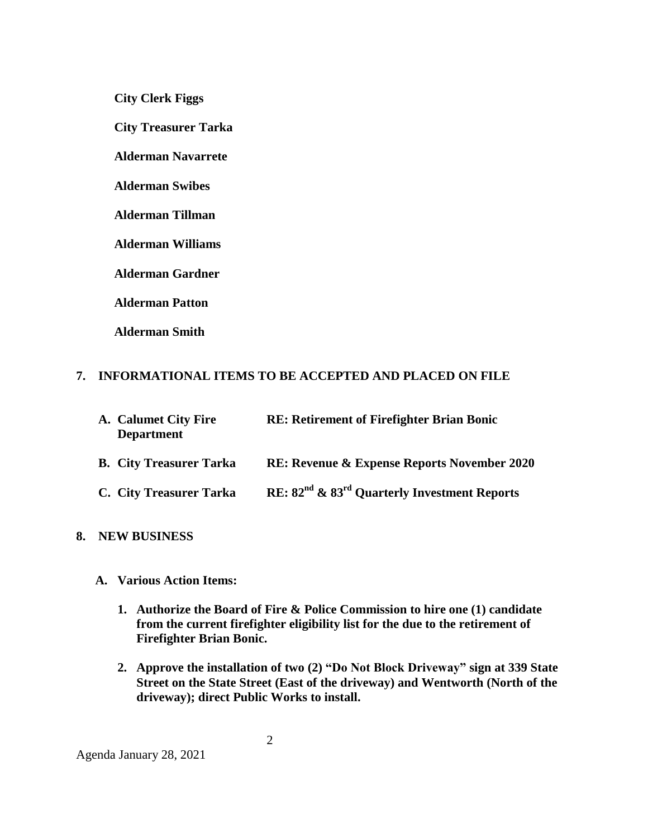**City Clerk Figgs**

 **City Treasurer Tarka**

**Alderman Navarrete**

**Alderman Swibes**

**Alderman Tillman**

**Alderman Williams**

**Alderman Gardner**

**Alderman Patton**

**Alderman Smith**

### **7. INFORMATIONAL ITEMS TO BE ACCEPTED AND PLACED ON FILE**

| A. Calumet City Fire<br><b>Department</b> | <b>RE: Retirement of Firefighter Brian Bonic</b>                     |
|-------------------------------------------|----------------------------------------------------------------------|
| <b>B.</b> City Treasurer Tarka            | <b>RE: Revenue &amp; Expense Reports November 2020</b>               |
| C. City Treasurer Tarka                   | RE: 82 <sup>nd</sup> & 83 <sup>rd</sup> Quarterly Investment Reports |

# **8. NEW BUSINESS**

- **A. Various Action Items:**
	- **1. Authorize the Board of Fire & Police Commission to hire one (1) candidate from the current firefighter eligibility list for the due to the retirement of Firefighter Brian Bonic.**
	- **2. Approve the installation of two (2) "Do Not Block Driveway" sign at 339 State Street on the State Street (East of the driveway) and Wentworth (North of the driveway); direct Public Works to install.**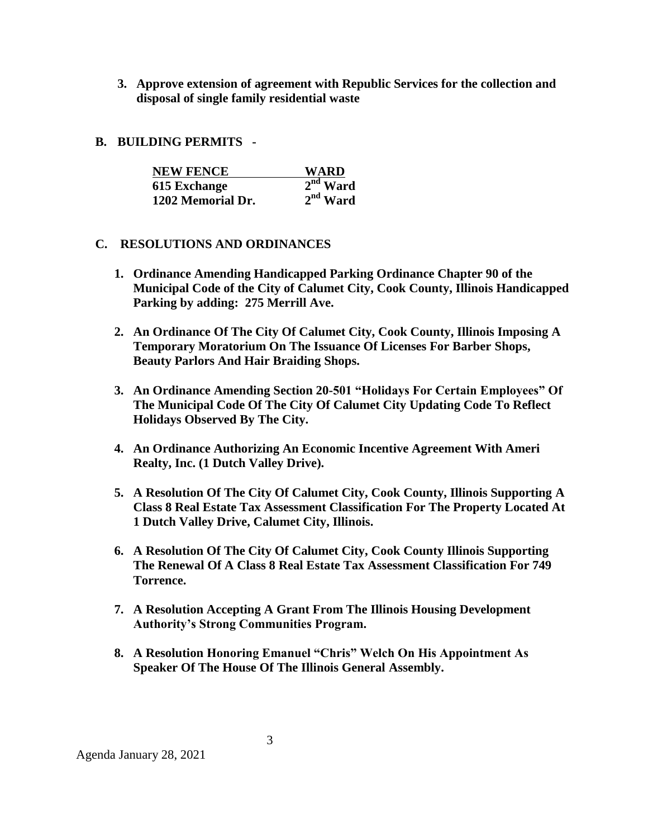- **3. Approve extension of agreement with Republic Services for the collection and disposal of single family residential waste**
- **B. BUILDING PERMITS -**

| <b>NEW FENCE</b>  | WARD       |
|-------------------|------------|
| 615 Exchange      | $2nd$ Ward |
| 1202 Memorial Dr. | $2nd$ Ward |

# **C. RESOLUTIONS AND ORDINANCES**

- **1. Ordinance Amending Handicapped Parking Ordinance Chapter 90 of the Municipal Code of the City of Calumet City, Cook County, Illinois Handicapped Parking by adding: 275 Merrill Ave.**
- **2. An Ordinance Of The City Of Calumet City, Cook County, Illinois Imposing A Temporary Moratorium On The Issuance Of Licenses For Barber Shops, Beauty Parlors And Hair Braiding Shops.**
- **3. An Ordinance Amending Section 20-501 "Holidays For Certain Employees" Of The Municipal Code Of The City Of Calumet City Updating Code To Reflect Holidays Observed By The City.**
- **4. An Ordinance Authorizing An Economic Incentive Agreement With Ameri Realty, Inc. (1 Dutch Valley Drive).**
- **5. A Resolution Of The City Of Calumet City, Cook County, Illinois Supporting A Class 8 Real Estate Tax Assessment Classification For The Property Located At 1 Dutch Valley Drive, Calumet City, Illinois.**
- **6. A Resolution Of The City Of Calumet City, Cook County Illinois Supporting The Renewal Of A Class 8 Real Estate Tax Assessment Classification For 749 Torrence.**
- **7. A Resolution Accepting A Grant From The Illinois Housing Development Authority's Strong Communities Program.**
- **8. A Resolution Honoring Emanuel "Chris" Welch On His Appointment As Speaker Of The House Of The Illinois General Assembly.**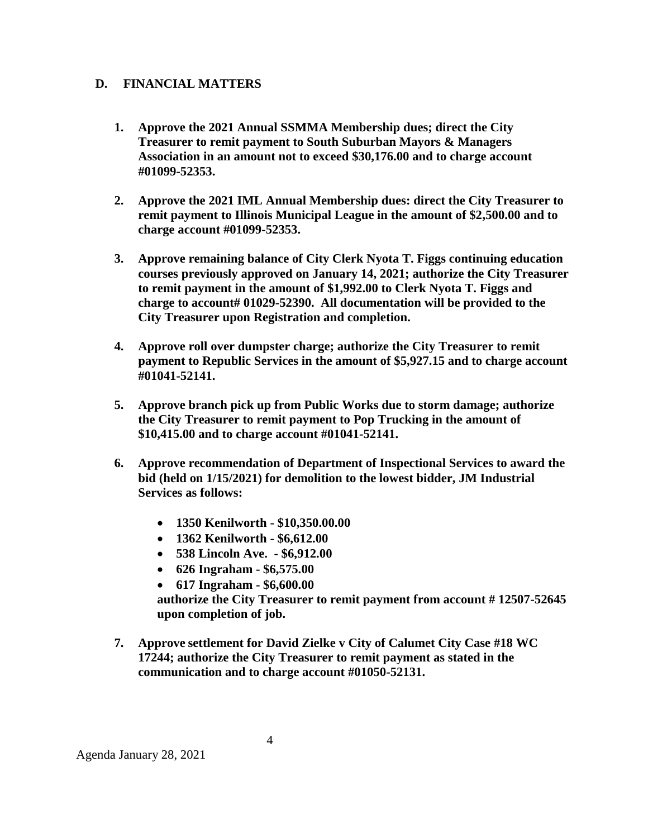### **D. FINANCIAL MATTERS**

- **1. Approve the 2021 Annual SSMMA Membership dues; direct the City Treasurer to remit payment to South Suburban Mayors & Managers Association in an amount not to exceed \$30,176.00 and to charge account #01099-52353.**
- **2. Approve the 2021 IML Annual Membership dues: direct the City Treasurer to remit payment to Illinois Municipal League in the amount of \$2,500.00 and to charge account #01099-52353.**
- **3. Approve remaining balance of City Clerk Nyota T. Figgs continuing education courses previously approved on January 14, 2021; authorize the City Treasurer to remit payment in the amount of \$1,992.00 to Clerk Nyota T. Figgs and charge to account# 01029-52390. All documentation will be provided to the City Treasurer upon Registration and completion.**
- **4. Approve roll over dumpster charge; authorize the City Treasurer to remit payment to Republic Services in the amount of \$5,927.15 and to charge account #01041-52141.**
- **5. Approve branch pick up from Public Works due to storm damage; authorize the City Treasurer to remit payment to Pop Trucking in the amount of \$10,415.00 and to charge account #01041-52141.**
- **6. Approve recommendation of Department of Inspectional Services to award the bid (held on 1/15/2021) for demolition to the lowest bidder, JM Industrial Services as follows:**
	- **1350 Kenilworth - \$10,350.00.00**
	- **1362 Kenilworth - \$6,612.00**
	- **538 Lincoln Ave. - \$6,912.00**
	- **626 Ingraham - \$6,575.00**
	- **617 Ingraham - \$6,600.00**

**authorize the City Treasurer to remit payment from account # 12507-52645 upon completion of job.**

**7. Approve settlement for David Zielke v City of Calumet City Case #18 WC 17244; authorize the City Treasurer to remit payment as stated in the communication and to charge account #01050-52131.**